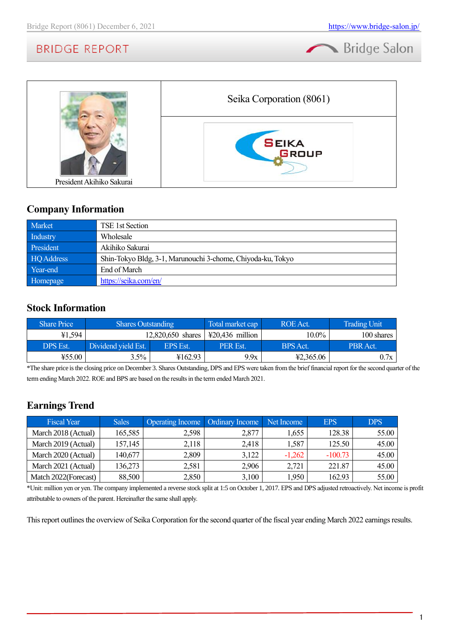



# **Company Information**

| Market            | TSE 1st Section                                             |
|-------------------|-------------------------------------------------------------|
| Industry          | Wholesale                                                   |
| President         | Akihiko Sakurai                                             |
| <b>HQ</b> Address | Shin-Tokyo Bldg, 3-1, Marunouchi 3-chome, Chiyoda-ku, Tokyo |
| Year-end          | End of March                                                |
| Homepage          | https://seika.com/en/                                       |

# **Stock Information**

| <b>Share Price</b> | <b>Shares Outstanding</b> |                 | Total market cap          | ROE Act.  | <b>Trading Unit</b> |
|--------------------|---------------------------|-----------------|---------------------------|-----------|---------------------|
| ¥1,594             | $12,820,650$ shares       |                 | $\text{\#20,436}$ million | 10.0%     | 100 shares          |
| <b>DPS Est.</b>    | Dividend vield Est.       | <b>EPS</b> Est. | <b>PER Est.</b>           | BPS Act.  | PBR Act.            |
| ¥55.00             | 3.5%                      | ¥162.93         | 9.9x                      | 42,365.06 | 0.7x                |

\*The share price is the closing price on December 3. Shares Outstanding, DPS and EPS were taken from the brief financial report for the second quarter of the term ending March 2022. ROE and BPS are based on the results in the term ended March 2021.

# **Earnings Trend**

| <b>Fiscal Year</b>    | <b>Sales</b> | <b>Operating Income</b> | Ordinary Income | Net Income | <b>EPS</b> | <b>DPS</b> |
|-----------------------|--------------|-------------------------|-----------------|------------|------------|------------|
| March 2018 (Actual)   | 165,585      | 2,598                   | 2,877           | 1,655      | 128.38     | 55.00      |
| March 2019 (Actual)   | 157,145      | 2,118                   | 2,418           | 1,587      | 125.50     | 45.00      |
| March 2020 (Actual)   | 140,677      | 2,809                   | 3,122           | $-1,262$   | $-100.73$  | 45.00      |
| March 2021 (Actual)   | 136,273      | 2,581                   | 2,906           | 2,721      | 221.87     | 45.00      |
| Match 2022 (Forecast) | 88,500       | 2,850                   | 3,100           | ,950       | 162.93     | 55.00      |

\*Unit: million yen or yen. The company implemented a reverse stock split at 1:5 on October 1, 2017. EPS and DPS adjusted retroactively. Net income is profit attributable to owners of the parent. Hereinafter the same shall apply.

This report outlines the overview of Seika Corporation for the second quarter of the fiscal year ending March 2022 earnings results.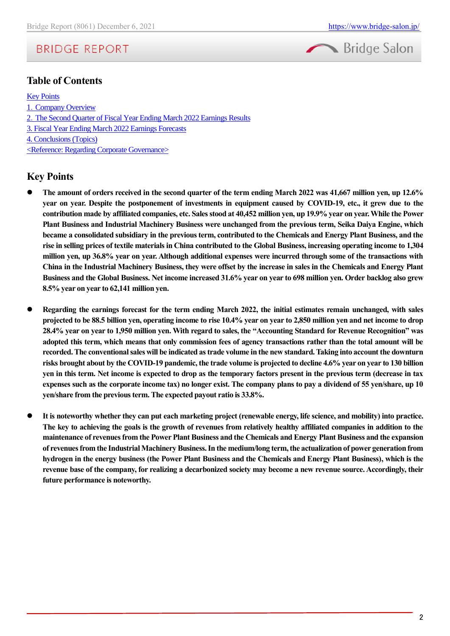# Bridge Salon

# **BRIDGE REPORT**

# **Table of Contents**

**[Key Points](#page-1-0)** 

- 1.[Company Overview](#page-2-0)
- 2.[The Second Quarter of Fiscal Year](#page-9-0) Ending March 2022 Earnings Results
- [3. Fiscal Year Ending March 2022 Earnings Forecasts](#page-11-0)
- [4. Conclusions\(Topics\)](#page-11-1)

<Reference: Regarding Corporate Governance>

# <span id="page-1-0"></span>**Key Points**

- ⚫ **The amount of orders received in the second quarter of the term ending March 2022 was 41,667 million yen, up 12.6% year on year. Despite the postponement of investments in equipment caused by COVID-19, etc., it grew due to the contribution made by affiliated companies, etc. Sales stood at 40,452 million yen, up 19.9% year on year. While the Power Plant Business and Industrial Machinery Business were unchanged from the previous term, Seika Daiya Engine, which became a consolidated subsidiary in the previous term, contributed to the Chemicals and Energy Plant Business, and the rise in selling prices of textile materials in China contributed to the Global Business, increasing operating income to 1,304 million yen, up 36.8% year on year. Although additional expenses were incurred through some of the transactions with China in the Industrial Machinery Business, they were offset by the increase in sales in the Chemicals and Energy Plant Business and the Global Business. Net income increased 31.6% year on year to 698 million yen. Order backlog also grew 8.5% year on year to 62,141 million yen.**
- ⚫ **Regarding the earnings forecast for the term ending March 2022, the initial estimates remain unchanged, with sales projected to be 88.5 billion yen, operating income to rise 10.4% year on year to 2,850 million yen and net income to drop 28.4% year on year to 1,950 million yen. With regard to sales, the "Accounting Standard for Revenue Recognition" was adopted this term, which means that only commission fees of agency transactions rather than the total amount will be recorded. The conventional sales will be indicated as trade volume in the new standard. Taking into account the downturn risks brought about by the COVID-19 pandemic, the trade volume is projected to decline 4.6% year on year to 130 billion yen in this term. Net income is expected to drop as the temporary factors present in the previous term (decrease in tax expenses such as the corporate income tax) no longer exist. The company plans to pay a dividend of 55 yen/share, up 10 yen/share from the previous term. The expected payout ratio is 33.8%.**
- ⚫ **It is noteworthy whether they can put each marketing project (renewable energy, life science, and mobility) into practice. The key to achieving the goals is the growth of revenues from relatively healthy affiliated companies in addition to the maintenance of revenues from the Power Plant Business and the Chemicals and Energy Plant Business and the expansion of revenues from the Industrial Machinery Business. In the medium/long term, the actualization of power generation from hydrogen in the energy business (the Power Plant Business and the Chemicals and Energy Plant Business), which is the revenue base of the company, for realizing a decarbonized society may become a new revenue source. Accordingly, their future performance is noteworthy.**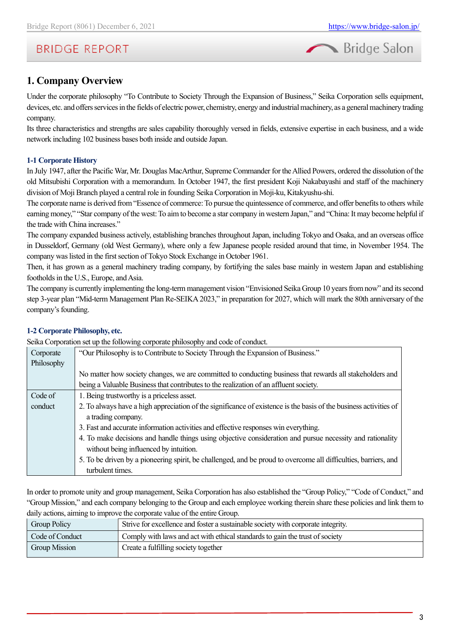

# <span id="page-2-0"></span>**1. Company Overview**

Under the corporate philosophy "To Contribute to Society Through the Expansion of Business," Seika Corporation sells equipment, devices, etc. and offers services in the fields of electric power, chemistry, energy and industrial machinery, as a general machinery trading company.

Its three characteristics and strengths are sales capability thoroughly versed in fields, extensive expertise in each business, and a wide network including 102 business bases both inside and outside Japan.

# **1-1 Corporate History**

In July 1947, after the Pacific War, Mr. Douglas MacArthur, Supreme Commander for the Allied Powers, ordered the dissolution of the old Mitsubishi Corporation with a memorandum. In October 1947, the first president Koji Nakabayashi and staff of the machinery division of Moji Branch played a central role in founding Seika Corporation in Moji-ku, Kitakyushu-shi.

The corporate name is derived from "Essence of commerce: To pursue the quintessence of commerce, and offer benefits to others while earning money," "Star company of the west: To aim to become a star company in western Japan," and "China: It may become helpful if the trade with China increases."

The company expanded business actively, establishing branches throughout Japan, including Tokyo and Osaka, and an overseas office in Dusseldorf, Germany (old West Germany), where only a few Japanese people resided around that time, in November 1954. The company was listed in the first section of Tokyo Stock Exchange in October 1961.

Then, it has grown as a general machinery trading company, by fortifying the sales base mainly in western Japan and establishing footholds in the U.S., Europe, and Asia.

The company is currently implementing the long-term management vision "Envisioned Seika Group 10 years from now" and its second step 3-year plan "Mid-term Management Plan Re-SEIKA 2023," in preparation for 2027, which will mark the 80th anniversary of the company's founding.

# **1-2 Corporate Philosophy, etc.**

Seika Corporation set up the following corporate philosophy and code of conduct.

|            | Delka Corporation set up the following corporate philosophy and code of conduct.                                  |
|------------|-------------------------------------------------------------------------------------------------------------------|
| Corporate  | "Our Philosophy is to Contribute to Society Through the Expansion of Business."                                   |
| Philosophy |                                                                                                                   |
|            | No matter how society changes, we are committed to conducting business that rewards all stakeholders and          |
|            | being a Valuable Business that contributes to the realization of an affluent society.                             |
| Code of    | 1. Being trustworthy is a priceless asset.                                                                        |
| conduct    | 2. To always have a high appreciation of the significance of existence is the basis of the business activities of |
|            | a trading company.                                                                                                |
|            | 3. Fast and accurate information activities and effective responses win everything.                               |
|            | 4. To make decisions and handle things using objective consideration and pursue necessity and rationality         |
|            | without being influenced by intuition.                                                                            |
|            | 5. To be driven by a pioneering spirit, be challenged, and be proud to overcome all difficulties, barriers, and   |
|            | turbulent times.                                                                                                  |

In order to promote unity and group management, Seika Corporation has also established the "Group Policy," "Code of Conduct," and "Group Mission," and each company belonging to the Group and each employee working therein share these policies and link them to daily actions, aiming to improve the corporate value of the entire Group.

| Group Policy         | Strive for excellence and foster a sustainable society with corporate integrity. |
|----------------------|----------------------------------------------------------------------------------|
| Code of Conduct      | Comply with laws and act with ethical standards to gain the trust of society     |
| <b>Group Mission</b> | Create a fulfilling society together                                             |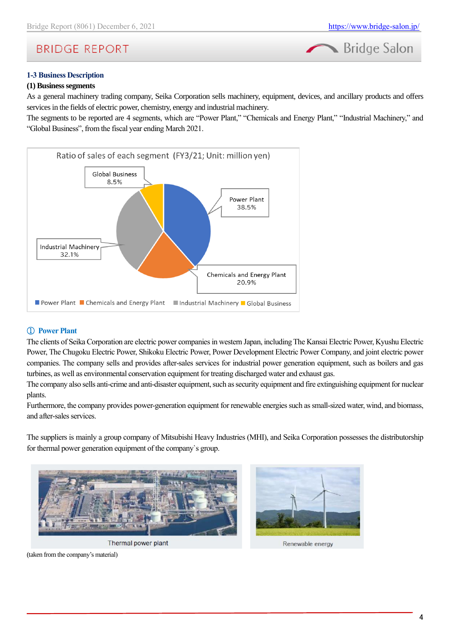



### **1-3 Business Description**

### **(1) Business segments**

As a general machinery trading company, Seika Corporation sells machinery, equipment, devices, and ancillary products and offers services in the fields of electric power, chemistry, energy and industrial machinery.

The segments to be reported are 4 segments, which are "Power Plant," "Chemicals and Energy Plant," "Industrial Machinery," and "Global Business", from the fiscal year ending March 2021.



### ① **Power Plant**

The clients of Seika Corporation are electric power companies in western Japan, including The Kansai Electric Power, Kyushu Electric Power, The Chugoku Electric Power, Shikoku Electric Power, Power Development Electric Power Company, and joint electric power companies. The company sells and provides after-sales services for industrial power generation equipment, such as boilers and gas turbines, as well as environmental conservation equipment for treating discharged water and exhaust gas.

The company also sells anti-crime and anti-disaster equipment, such as security equipment and fire extinguishing equipment for nuclear plants.

Furthermore, the company provides power-generation equipment for renewable energies such as small-sized water, wind, and biomass, and after-sales services.

The suppliers is mainly a group company of Mitsubishi Heavy Industries (MHI), and Seika Corporation possesses the distributorship for thermal power generation equipment of the company`s group.



Thermal power plant



Renewable energy

(taken from the company's material)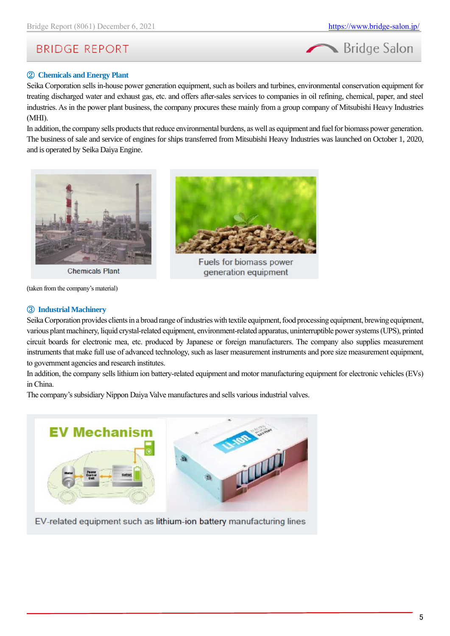

# ② **Chemicals and Energy Plant**

Seika Corporation sells in-house power generation equipment, such as boilers and turbines, environmental conservation equipment for treating discharged water and exhaust gas, etc. and offers after-sales services to companies in oil refining, chemical, paper, and steel industries. As in the power plant business, the company procures these mainly from a group company of Mitsubishi Heavy Industries (MHI).

In addition, the company sells products that reduce environmental burdens, as well as equipment and fuel for biomass power generation. The business of sale and service of engines for ships transferred from Mitsubishi Heavy Industries was launched on October 1, 2020, and is operated by Seika Daiya Engine.



**Chemicals Plant** 

(taken from the company's material)

### ③ **Industrial Machinery**



Fuels for biomass power generation equipment

Seika Corporation provides clients in a broad range of industries with textile equipment, food processing equipment, brewing equipment, various plant machinery, liquid crystal-related equipment, environment-related apparatus, uninterruptible power systems (UPS), printed circuit boards for electronic mea, etc. produced by Japanese or foreign manufacturers. The company also supplies measurement instruments that make full use of advanced technology, such as laser measurement instruments and pore size measurement equipment, to government agencies and research institutes.

In addition, the company sells lithium ion battery-related equipment and motor manufacturing equipment for electronic vehicles (EVs) in China.

The company's subsidiary Nippon Daiya Valve manufactures and sells various industrial valves.



EV-related equipment such as lithium-ion battery manufacturing lines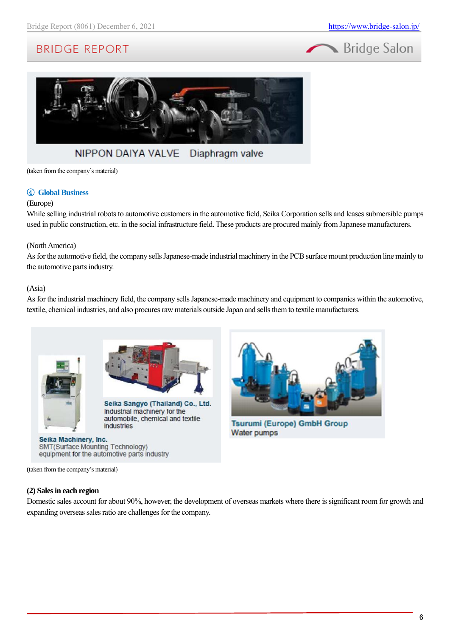# Bridge Salon



#### **NIPPON DAIYA VALVE** Diaphragm valve

(taken from the company's material)

#### ④ **Global Business**

#### (Europe)

While selling industrial robots to automotive customers in the automotive field, Seika Corporation sells and leases submersible pumps used in public construction, etc. in the social infrastructure field. These products are procured mainly from Japanese manufacturers.

#### (North America)

As for the automotive field, the company sells Japanese-made industrial machinery in the PCB surface mount production line mainly to the automotive parts industry.

#### (Asia)

As for the industrial machinery field, the company sells Japanese-made machinery and equipment to companies within the automotive, textile, chemical industries, and also procures raw materials outside Japan and sells them to textile manufacturers.





Seika Sangyo (Thailand) Co., Ltd. Industrial machinery for the automobile, chemical and textile industries

#### Seika Machinery, Inc. SMT(Surface Mounting Technology) equipment for the automotive parts industry



**Tsurumi (Europe) GmbH Group Water pumps** 

(taken from the company's material)

#### **(2) Sales in each region**

Domestic sales account for about 90%, however, the development of overseas markets where there is significant room for growth and expanding overseas sales ratio are challenges for the company.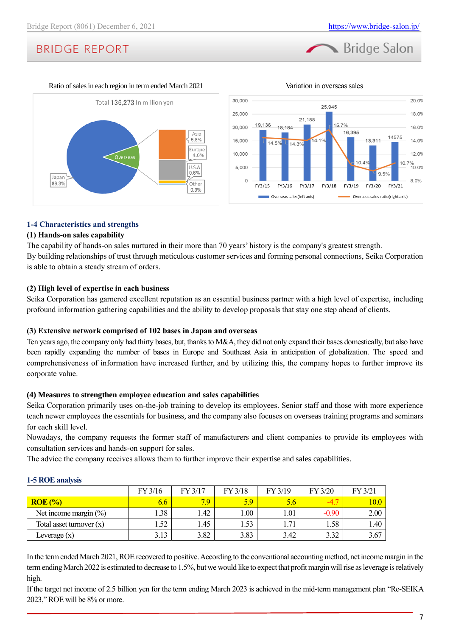





# **1-4 Characteristics and strengths**

### **(1) Hands-on sales capability**

The capability of hands-on sales nurtured in their more than 70 years' history is the company's greatest strength. By building relationships of trust through meticulous customer services and forming personal connections, Seika Corporation is able to obtain a steady stream of orders.

### **(2) High level of expertise in each business**

Seika Corporation has garnered excellent reputation as an essential business partner with a high level of expertise, including profound information gathering capabilities and the ability to develop proposals that stay one step ahead of clients.

### **(3) Extensive network comprised of 102 bases in Japan and overseas**

Ten years ago, the company only had thirty bases, but, thanks to M&A, they did not only expand their bases domestically, but also have been rapidly expanding the number of bases in Europe and Southeast Asia in anticipation of globalization. The speed and comprehensiveness of information have increased further, and by utilizing this, the company hopes to further improve its corporate value.

### **(4) Measures to strengthen employee education and sales capabilities**

Seika Corporation primarily uses on-the-job training to develop its employees. Senior staff and those with more experience teach newer employees the essentials for business, and the company also focuses on overseas training programs and seminars for each skill level.

Nowadays, the company requests the former staff of manufacturers and client companies to provide its employees with consultation services and hands-on support for sales.

The advice the company receives allows them to further improve their expertise and sales capabilities.

|                            | FY 3/16 | FY 3/17 | FY 3/18 | FY 3/19 | FY 3/20 | FY 3/21  |
|----------------------------|---------|---------|---------|---------|---------|----------|
| $ROE(\%)$                  | 6.6     | 7.9     | 5.9     | 5.6     | $-4.7$  | $10.0\,$ |
| Net income margin $(\%)$   | 1.38    | 1.42    | .00.    | 1.01    | $-0.90$ | 2.00     |
| Total asset turnover $(x)$ | 1.52    | l .45   | . 53    | 1.71    | 1.58    | 1.40     |
| Leverage $(x)$             | 3.13    | 3.82    | 3.83    | 3.42    | 3.32    | 3.67     |

### **1-5 ROE analysis**

In the term ended March 2021, ROE recovered to positive. According to the conventional accounting method, net income margin in the term ending March 2022 is estimated to decrease to 1.5%, but we would like to expect that profit margin will rise as leverage is relatively high.

If the target net income of 2.5 billion yen for the term ending March 2023 is achieved in the mid-term management plan "Re-SEIKA 2023," ROE will be 8% or more.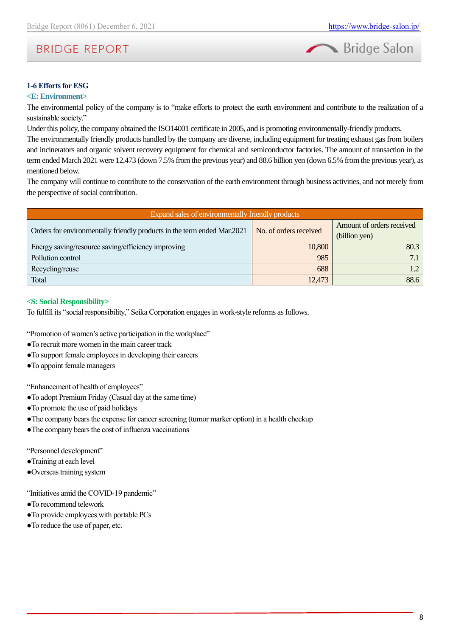

# **1-6 Efforts for ESG**

### **<E: Environment>**

The environmental policy of the company is to "make efforts to protect the earth environment and contribute to the realization of a sustainable society."

Under this policy, the company obtained the ISO14001 certificate in 2005, and is promoting environmentally-friendly products.

The environmentally friendly products handled by the company are diverse, including equipment for treating exhaust gas from boilers and incinerators and organic solvent recovery equipment for chemical and semiconductor factories. The amount of transaction in the term ended March 2021 were 12,473 (down 7.5% from the previous year) and 88.6 billion yen (down 6.5% from the previous year), as mentioned below.

The company will continue to contribute to the conservation of the earth environment through business activities, and not merely from the perspective of social contribution.

| Expand sales of environmentally friendly products                       |                        |                                            |  |  |  |
|-------------------------------------------------------------------------|------------------------|--------------------------------------------|--|--|--|
| Orders for environmentally friendly products in the term ended Mar.2021 | No. of orders received | Amount of orders received<br>(billion yen) |  |  |  |
| Energy saving/resource saving/efficiency improving                      | 10,800                 | 80.3                                       |  |  |  |
| Pollution control                                                       | 985                    |                                            |  |  |  |
| Recycling/reuse                                                         | 688                    | $\sqrt{2}$                                 |  |  |  |
| Total                                                                   | 12,473                 | 88.6                                       |  |  |  |

#### **<S: Social Responsibility>**

To fulfill its "social responsibility," Seika Corporation engages in work-style reforms as follows.

"Promotion of women's active participation in the workplace"

- ●To recruit more women in the main career track
- ●To support female employees in developing their careers
- ●To appoint female managers

"Enhancement of health of employees"

- ●To adopt Premium Friday (Casual day at the same time)
- ●To promote the use of paid holidays
- ●The company bears the expense for cancer screening (tumor marker option) in a health checkup
- ●The company bears the cost of influenza vaccinations

"Personnel development"

- ●Training at each level
- ●Overseas training system

"Initiatives amid the COVID-19 pandemic"

- ●To recommend telework
- ●To provide employees with portable PCs
- ●To reduce the use of paper, etc.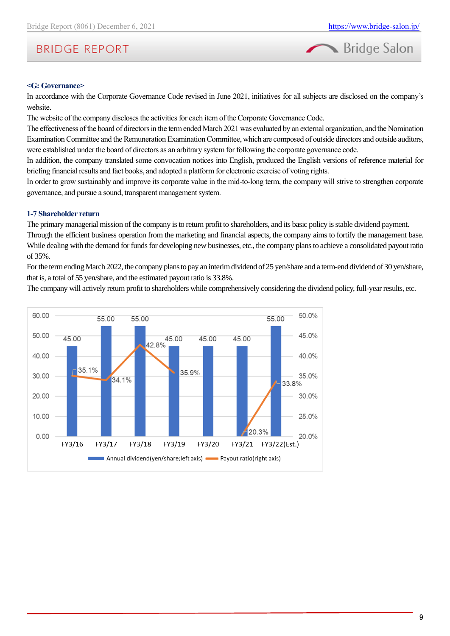

#### **<G: Governance>**

In accordance with the Corporate Governance Code revised in June 2021, initiatives for all subjects are disclosed on the company's website.

The website of the company discloses the activities for each item of the Corporate Governance Code.

The effectiveness of the board of directors in the term ended March 2021 was evaluated by an external organization, and the Nomination Examination Committee and the Remuneration Examination Committee, which are composed of outside directors and outside auditors, were established under the board of directors as an arbitrary system for following the corporate governance code.

In addition, the company translated some convocation notices into English, produced the English versions of reference material for briefing financial results and fact books, and adopted a platform for electronic exercise of voting rights.

In order to grow sustainably and improve its corporate value in the mid-to-long term, the company will strive to strengthen corporate governance, and pursue a sound, transparent management system.

### **1-7 Shareholder return**

The primary managerial mission of the company is to return profit to shareholders, and its basic policy is stable dividend payment. Through the efficient business operation from the marketing and financial aspects, the company aims to fortify the management base. While dealing with the demand for funds for developing new businesses, etc., the company plans to achieve a consolidated payout ratio of 35%.

For the term ending March 2022, the company plans to pay an interim dividend of 25 yen/share and a term-end dividend of 30 yen/share, that is, a total of 55 yen/share, and the estimated payout ratio is 33.8%.

The company will actively return profit to shareholders while comprehensively considering the dividend policy, full-year results, etc.

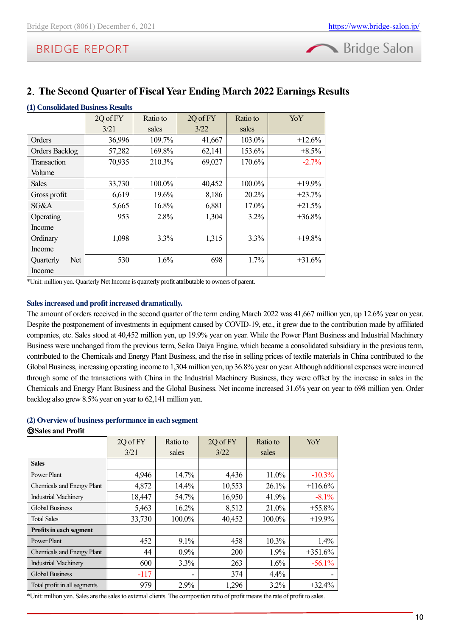

# <span id="page-9-0"></span>**2**.**The Second Quarter of Fiscal Year Ending March 2022 Earnings Results**

| (1) Consolidated Business Results |          |          |          |          |           |
|-----------------------------------|----------|----------|----------|----------|-----------|
|                                   | 2Q of FY | Ratio to | 2Q of FY | Ratio to | YoY       |
|                                   | 3/21     | sales    | 3/22     | sales    |           |
| Orders                            | 36,996   | 109.7%   | 41,667   | 103.0%   | $+12.6%$  |
| <b>Orders Backlog</b>             | 57,282   | 169.8%   | 62,141   | 153.6%   | $+8.5\%$  |
| <b>Transaction</b>                | 70,935   | 210.3%   | 69,027   | 170.6%   | $-2.7%$   |
| Volume                            |          |          |          |          |           |
| Sales                             | 33,730   | 100.0%   | 40,452   | 100.0%   | $+19.9%$  |
| Gross profit                      | 6,619    | 19.6%    | 8,186    | 20.2%    | $+23.7%$  |
| SG&A                              | 5,665    | 16.8%    | 6,881    | 17.0%    | $+21.5%$  |
| Operating                         | 953      | 2.8%     | 1,304    | $3.2\%$  | $+36.8\%$ |
| Income                            |          |          |          |          |           |
| Ordinary                          | 1,098    | 3.3%     | 1,315    | 3.3%     | $+19.8\%$ |
| Income                            |          |          |          |          |           |
| Net.<br>Quarterly                 | 530      | 1.6%     | 698      | 1.7%     | $+31.6%$  |
| Income                            |          |          |          |          |           |

\*Unit: million yen. Quarterly Net Income is quarterly profit attributable to owners of parent.

# **Sales increased and profit increased dramatically.**

The amount of orders received in the second quarter of the term ending March 2022 was 41,667 million yen, up 12.6% year on year. Despite the postponement of investments in equipment caused by COVID-19, etc., it grew due to the contribution made by affiliated companies, etc. Sales stood at 40,452 million yen, up 19.9% year on year. While the Power Plant Business and Industrial Machinery Business were unchanged from the previous term, Seika Daiya Engine, which became a consolidated subsidiary in the previous term, contributed to the Chemicals and Energy Plant Business, and the rise in selling prices of textile materials in China contributed to the Global Business, increasing operating income to 1,304 million yen, up 36.8% year on year. Although additional expenses were incurred through some of the transactions with China in the Industrial Machinery Business, they were offset by the increase in sales in the Chemicals and Energy Plant Business and the Global Business. Net income increased 31.6% year on year to 698 million yen. Order backlog also grew 8.5% year on year to 62,141 million yen.

### **(2) Overview of business performance in each segment**

### ◎**Sales and Profit**

|                                | 2Q of FY | Ratio to | 2Q of FY | Ratio to | YoY       |
|--------------------------------|----------|----------|----------|----------|-----------|
|                                | 3/21     | sales    | 3/22     | sales    |           |
| <b>Sales</b>                   |          |          |          |          |           |
| Power Plant                    | 4,946    | 14.7%    | 4,436    | $11.0\%$ | $-10.3\%$ |
| Chemicals and Energy Plant     | 4,872    | 14.4%    | 10,553   | 26.1%    | $+116.6%$ |
| <b>Industrial Machinery</b>    | 18,447   | 54.7%    | 16,950   | 41.9%    | $-8.1%$   |
| <b>Global Business</b>         | 5,463    | $16.2\%$ | 8,512    | 21.0%    | $+55.8\%$ |
| <b>Total Sales</b>             | 33,730   | 100.0%   | 40,452   | 100.0%   | $+19.9%$  |
| <b>Profits in each segment</b> |          |          |          |          |           |
| Power Plant                    | 452      | $9.1\%$  | 458      | $10.3\%$ | $1.4\%$   |
| Chemicals and Energy Plant     | 44       | 0.9%     | 200      | 1.9%     | $+351.6%$ |
| <b>Industrial Machinery</b>    | 600      | 3.3%     | 263      | 1.6%     | $-56.1\%$ |
| <b>Global Business</b>         | $-117$   | ۰        | 374      | 4.4%     |           |
| Total profit in all segments   | 979      | 2.9%     | 1,296    | 3.2%     | $+32.4%$  |

\*Unit: million yen. Sales are the sales to external clients. The composition ratio of profit means the rate of profit to sales.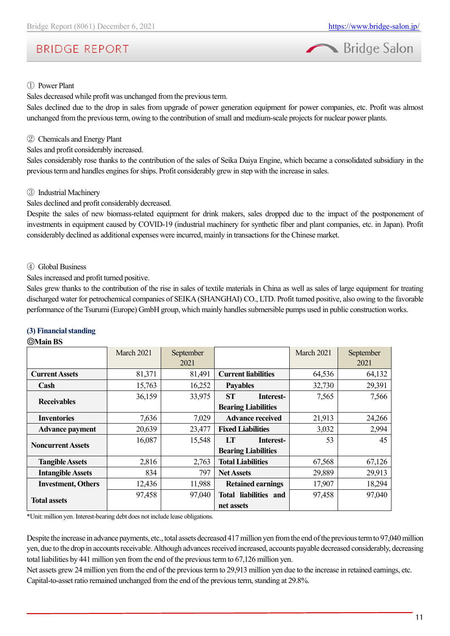



### ① Power Plant

Sales decreased while profit was unchanged from the previous term.

Sales declined due to the drop in sales from upgrade of power generation equipment for power companies, etc. Profit was almost unchanged from the previous term, owing to the contribution of small and medium-scale projects for nuclear power plants.

### ② Chemicals and Energy Plant

Sales and profit considerably increased.

Sales considerably rose thanks to the contribution of the sales of Seika Daiya Engine, which became a consolidated subsidiary in the previous term and handles engines for ships. Profit considerably grew in step with the increase in sales.

### ③ Industrial Machinery

Sales declined and profit considerably decreased.

Despite the sales of new biomass-related equipment for drink makers, sales dropped due to the impact of the postponement of investments in equipment caused by COVID-19 (industrial machinery for synthetic fiber and plant companies, etc. in Japan). Profit considerably declined as additional expenses were incurred, mainly in transactions for the Chinese market.

### ④ Global Business

Sales increased and profit turned positive.

Sales grew thanks to the contribution of the rise in sales of textile materials in China as well as sales of large equipment for treating discharged water for petrochemical companies of SEIKA (SHANGHAI) CO., LTD. Profit turned positive, also owing to the favorable performance of the Tsurumi (Europe) GmbH group, which mainly handles submersible pumps used in public construction works.

# **(3) Financial standing**

#### ◎**Main BS**

|                           | March 2021 | September |                            | March 2021 | September |
|---------------------------|------------|-----------|----------------------------|------------|-----------|
|                           |            | 2021      |                            |            | 2021      |
| <b>Current Assets</b>     | 81,371     | 81,491    | <b>Current liabilities</b> | 64,536     | 64,132    |
| Cash                      | 15,763     | 16,252    | <b>Payables</b>            | 32,730     | 29,391    |
|                           | 36,159     | 33,975    | <b>ST</b><br>Interest-     | 7,565      | 7,566     |
| <b>Receivables</b>        |            |           | <b>Bearing Liabilities</b> |            |           |
| <b>Inventories</b>        | 7,636      | 7,029     | <b>Advance received</b>    | 21,913     | 24,266    |
| <b>Advance payment</b>    | 20,639     | 23,477    | <b>Fixed Liabilities</b>   | 3,032      | 2,994     |
| <b>Noncurrent Assets</b>  | 16,087     | 15,548    | LT<br>Interest-            | 53         | 45        |
|                           |            |           | <b>Bearing Liabilities</b> |            |           |
| <b>Tangible Assets</b>    | 2,816      | 2,763     | <b>Total Liabilities</b>   | 67,568     | 67,126    |
| <b>Intangible Assets</b>  | 834        | 797       | <b>Net Assets</b>          | 29,889     | 29,913    |
| <b>Investment, Others</b> | 12,436     | 11,988    | <b>Retained earnings</b>   | 17,907     | 18,294    |
|                           | 97,458     | 97,040    | Total liabilities and      | 97,458     | 97,040    |
| <b>Total assets</b>       |            |           | net assets                 |            |           |

\*Unit: million yen. Interest-bearing debt does not include lease obligations.

Despite the increase in advance payments, etc., total assets decreased 417 million yen from the end of the previous term to 97,040 million yen, due to the drop in accounts receivable. Although advances received increased, accounts payable decreased considerably, decreasing total liabilities by 441 million yen from the end of the previous term to 67,126 million yen.

Net assets grew 24 million yen from the end of the previous term to 29,913 million yen due to the increase in retained earnings, etc. Capital-to-asset ratio remained unchanged from the end of the previous term, standing at 29.8%.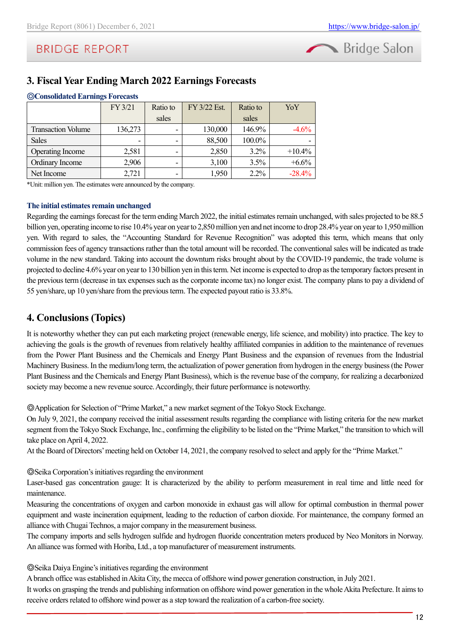

# <span id="page-11-0"></span>**3. Fiscal Year Ending March 2022 Earnings Forecasts**

| <b>Sconsondated Earnings Forecasts</b> |         |          |              |          |          |  |  |
|----------------------------------------|---------|----------|--------------|----------|----------|--|--|
|                                        | FY 3/21 | Ratio to | FY 3/22 Est. | Ratio to | YoY      |  |  |
|                                        |         | sales    |              | sales    |          |  |  |
| <b>Transaction Volume</b>              | 136,273 |          | 130,000      | 146.9%   | $-4.6%$  |  |  |
| <b>Sales</b>                           |         |          | 88,500       | 100.0%   |          |  |  |
| <b>Operating Income</b>                | 2,581   |          | 2,850        | $3.2\%$  | $+10.4%$ |  |  |
| Ordinary Income                        | 2,906   |          | 3,100        | 3.5%     | $+6.6%$  |  |  |
| Net Income                             | 2,721   | ۰        | 1,950        | 2.2%     | $-28.4%$ |  |  |

# ◎**ConsolidatedEarnings Forecasts**

\*Unit: million yen. The estimates were announced by the company.

# **The initial estimates remain unchanged**

Regarding the earnings forecast for the term ending March 2022, the initial estimates remain unchanged, with sales projected to be 88.5 billion yen, operating income to rise 10.4% year on year to 2,850 million yen and net income to drop 28.4% year on year to 1,950 million yen. With regard to sales, the "Accounting Standard for Revenue Recognition" was adopted this term, which means that only commission fees of agency transactions rather than the total amount will be recorded. The conventional sales will be indicated as trade volume in the new standard. Taking into account the downturn risks brought about by the COVID-19 pandemic, the trade volume is projected to decline 4.6% year on year to 130 billion yen in this term. Net income is expected to drop as the temporary factors present in the previous term (decrease in tax expenses such as the corporate income tax) no longer exist. The company plans to pay a dividend of 55 yen/share, up 10 yen/share from the previous term. The expected payout ratio is 33.8%.

# <span id="page-11-1"></span>**4. Conclusions (Topics)**

It is noteworthy whether they can put each marketing project (renewable energy, life science, and mobility) into practice. The key to achieving the goals is the growth of revenues from relatively healthy affiliated companies in addition to the maintenance of revenues from the Power Plant Business and the Chemicals and Energy Plant Business and the expansion of revenues from the Industrial Machinery Business. In the medium/long term, the actualization of power generation from hydrogen in the energy business (the Power Plant Business and the Chemicals and Energy Plant Business), which is the revenue base of the company, for realizing a decarbonized society may become a new revenue source. Accordingly, their future performance is noteworthy.

◎Application for Selection of "Prime Market," a new market segment of the Tokyo Stock Exchange.

On July 9, 2021, the company received the initial assessment results regarding the compliance with listing criteria for the new market segment from the Tokyo Stock Exchange, Inc., confirming the eligibility to be listed on the "Prime Market," the transition to which will take place on April 4, 2022.

At the Board of Directors' meeting held on October 14, 2021, the company resolved to select and apply for the "Prime Market."

◎Seika Corporation's initiatives regarding the environment

Laser-based gas concentration gauge: It is characterized by the ability to perform measurement in real time and little need for maintenance.

Measuring the concentrations of oxygen and carbon monoxide in exhaust gas will allow for optimal combustion in thermal power equipment and waste incineration equipment, leading to the reduction of carbon dioxide. For maintenance, the company formed an alliance with Chugai Technos, a major company in the measurement business.

The company imports and sells hydrogen sulfide and hydrogen fluoride concentration meters produced by Neo Monitors in Norway. An alliance was formed with Horiba, Ltd., a top manufacturer of measurement instruments.

◎Seika Daiya Engine's initiatives regarding the environment

A branch office was established in Akita City, the mecca of offshore wind power generation construction, in July 2021.

It works on grasping the trends and publishing information on offshore wind power generation in the whole Akita Prefecture. It aims to receive orders related to offshore wind power as a step toward the realization of a carbon-free society.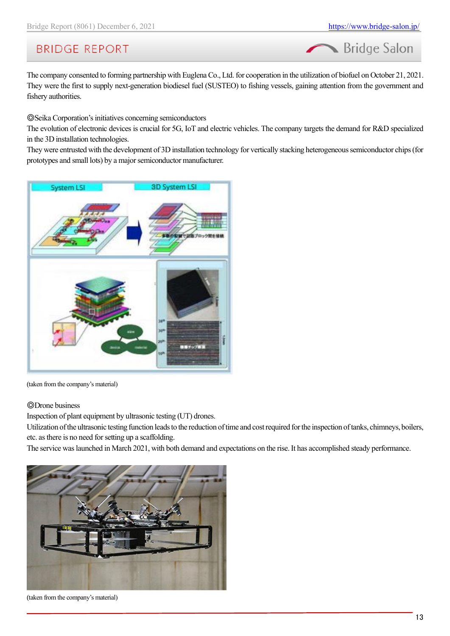Bridge Salon

# **BRIDGE REPORT**

The company consented to forming partnership with Euglena Co., Ltd. for cooperation in the utilization of biofuel on October 21, 2021. They were the first to supply next-generation biodiesel fuel (SUSTEO) to fishing vessels, gaining attention from the government and fishery authorities.

◎Seika Corporation's initiatives concerning semiconductors

The evolution of electronic devices is crucial for 5G, IoT and electric vehicles. The company targets the demand for R&D specialized in the 3D installation technologies.

They were entrusted with the development of 3D installation technology for vertically stacking heterogeneous semiconductor chips (for prototypes and small lots) by a major semiconductor manufacturer.



(taken from the company's material)

### ◎Drone business

Inspection of plant equipment by ultrasonic testing (UT) drones.

Utilization of the ultrasonic testing function leads to the reduction of time and cost required for the inspection of tanks, chimneys, boilers, etc. as there is no need for setting up a scaffolding.

The service was launched in March 2021, with both demand and expectations on the rise. It has accomplished steady performance.



(taken from the company's material)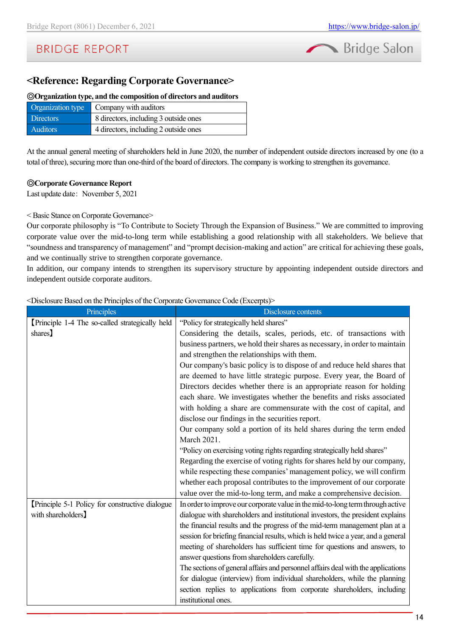

# **<Reference: Regarding Corporate Governance>**

#### ◎**Organization type, and the composition of directors and auditors**

| Organization type | Company with auditors                 |
|-------------------|---------------------------------------|
| <b>Directors</b>  | 8 directors, including 3 outside ones |
| <b>Auditors</b>   | 4 directors, including 2 outside ones |

At the annual general meeting of shareholders held in June 2020, the number of independent outside directors increased by one (to a total of three), securing more than one-third of the board of directors. The company is working to strengthen its governance.

#### ◎**Corporate Governance Report**

Last update date: November 5, 2021

#### < Basic Stance on Corporate Governance>

Our corporate philosophy is "To Contribute to Society Through the Expansion of Business." We are committed to improving corporate value over the mid-to-long term while establishing a good relationship with all stakeholders. We believe that "soundness and transparency of management" and "prompt decision-making and action" are critical for achieving these goals, and we continually strive to strengthen corporate governance.

In addition, our company intends to strengthen its supervisory structure by appointing independent outside directors and independent outside corporate auditors.

<Disclosure Based on the Principles of the Corporate Governance Code (Excerpts)>

| Principles                                     | Disclosure contents                                                               |
|------------------------------------------------|-----------------------------------------------------------------------------------|
| Principle 1-4 The so-called strategically held | "Policy for strategically held shares"                                            |
| shares                                         | Considering the details, scales, periods, etc. of transactions with               |
|                                                | business partners, we hold their shares as necessary, in order to maintain        |
|                                                | and strengthen the relationships with them.                                       |
|                                                | Our company's basic policy is to dispose of and reduce held shares that           |
|                                                | are deemed to have little strategic purpose. Every year, the Board of             |
|                                                | Directors decides whether there is an appropriate reason for holding              |
|                                                | each share. We investigates whether the benefits and risks associated             |
|                                                | with holding a share are commensurate with the cost of capital, and               |
|                                                | disclose our findings in the securities report.                                   |
|                                                | Our company sold a portion of its held shares during the term ended               |
|                                                | March 2021.                                                                       |
|                                                | "Policy on exercising voting rights regarding strategically held shares"          |
|                                                | Regarding the exercise of voting rights for shares held by our company,           |
|                                                | while respecting these companies' management policy, we will confirm              |
|                                                | whether each proposal contributes to the improvement of our corporate             |
|                                                | value over the mid-to-long term, and make a comprehensive decision.               |
| Principle 5-1 Policy for constructive dialogue | In order to improve our corporate value in the mid-to-long term through active    |
| with shareholders]                             | dialogue with shareholders and institutional investors, the president explains    |
|                                                | the financial results and the progress of the mid-term management plan at a       |
|                                                | session for briefing financial results, which is held twice a year, and a general |
|                                                | meeting of shareholders has sufficient time for questions and answers, to         |
|                                                | answer questions from shareholders carefully.                                     |
|                                                | The sections of general affairs and personnel affairs deal with the applications  |
|                                                | for dialogue (interview) from individual shareholders, while the planning         |
|                                                | section replies to applications from corporate shareholders, including            |
|                                                | institutional ones.                                                               |